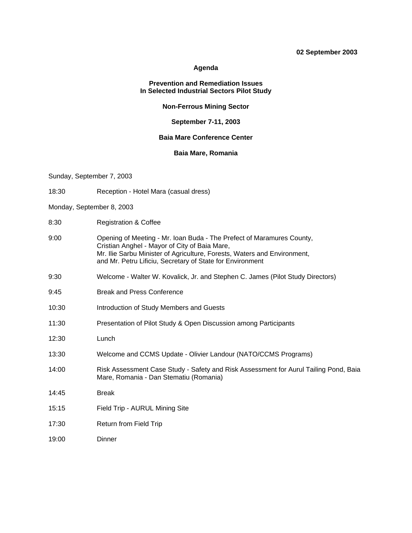#### **02 September 2003**

#### **Agenda**

#### **Prevention and Remediation Issues In Selected Industrial Sectors Pilot Study**

#### **Non-Ferrous Mining Sector**

#### **September 7-11, 2003**

## **Baia Mare Conference Center**

### **Baia Mare, Romania**

Sunday, September 7, 2003

- 18:30 Reception Hotel Mara (casual dress)
- Monday, September 8, 2003
- 8:30 Registration & Coffee
- 9:00 Opening of Meeting Mr. Ioan Buda The Prefect of Maramures County, Cristian Anghel - Mayor of City of Baia Mare, Mr. Ilie Sarbu Minister of Agriculture, Forests, Waters and Environment, and Mr. Petru Lificiu, Secretary of State for Environment
- 9:30 Welcome Walter W. Kovalick, Jr. and Stephen C. James (Pilot Study Directors)
- 9:45 Break and Press Conference
- 10:30 Introduction of Study Members and Guests
- 11:30 Presentation of Pilot Study & Open Discussion among Participants
- 12:30 Lunch
- 13:30 Welcome and CCMS Update Olivier Landour (NATO/CCMS Programs)
- 14:00 Risk Assessment Case Study Safety and Risk Assessment for Aurul Tailing Pond, Baia Mare, Romania - Dan Stematiu (Romania)
- 14:45 Break
- 15:15 Field Trip AURUL Mining Site
- 17:30 Return from Field Trip
- 19:00 Dinner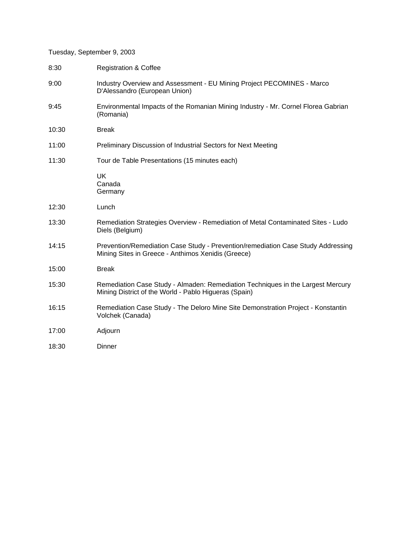## Tuesday, September 9, 2003

| 8:30  | <b>Registration &amp; Coffee</b>                                                                                                         |
|-------|------------------------------------------------------------------------------------------------------------------------------------------|
| 9:00  | Industry Overview and Assessment - EU Mining Project PECOMINES - Marco<br>D'Alessandro (European Union)                                  |
| 9:45  | Environmental Impacts of the Romanian Mining Industry - Mr. Cornel Florea Gabrian<br>(Romania)                                           |
| 10:30 | <b>Break</b>                                                                                                                             |
| 11:00 | Preliminary Discussion of Industrial Sectors for Next Meeting                                                                            |
| 11:30 | Tour de Table Presentations (15 minutes each)                                                                                            |
|       | <b>UK</b><br>Canada<br>Germany                                                                                                           |
| 12:30 | Lunch                                                                                                                                    |
| 13:30 | Remediation Strategies Overview - Remediation of Metal Contaminated Sites - Ludo<br>Diels (Belgium)                                      |
| 14:15 | Prevention/Remediation Case Study - Prevention/remediation Case Study Addressing<br>Mining Sites in Greece - Anthimos Xenidis (Greece)   |
| 15:00 | <b>Break</b>                                                                                                                             |
| 15:30 | Remediation Case Study - Almaden: Remediation Techniques in the Largest Mercury<br>Mining District of the World - Pablo Higueras (Spain) |
| 16:15 | Remediation Case Study - The Deloro Mine Site Demonstration Project - Konstantin<br>Volchek (Canada)                                     |
| 17:00 | Adjourn                                                                                                                                  |
| 18:30 | <b>Dinner</b>                                                                                                                            |
|       |                                                                                                                                          |